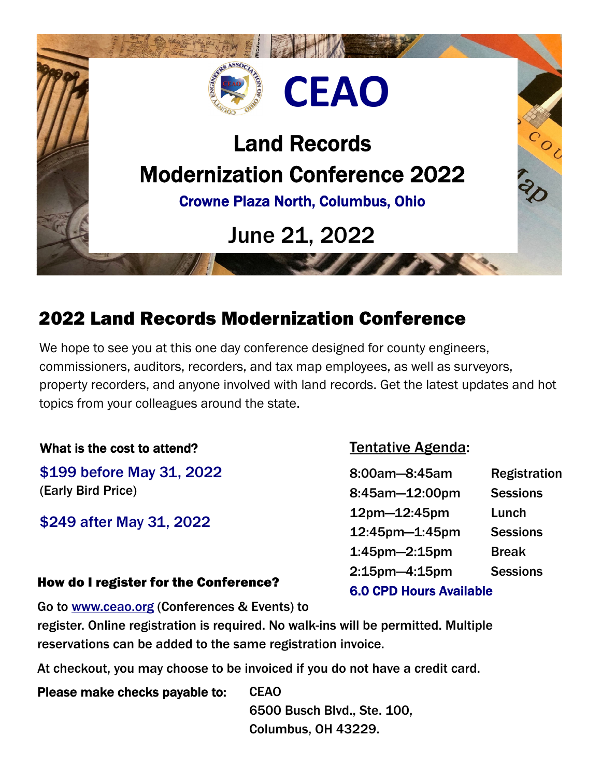

## 2022 Land Records Modernization Conference

We hope to see you at this one day conference designed for county engineers, commissioners, auditors, recorders, and tax map employees, as well as surveyors, property recorders, and anyone involved with land records. Get the latest updates and hot topics from your colleagues around the state.

### What is the cost to attend?

\$199 before May 31, 2022 (Early Bird Price)

\$249 after May 31, 2022

### Tentative Agenda:

| 8:00am-8:45am                  | <b>Registration</b> |
|--------------------------------|---------------------|
| 8:45am-12:00pm                 | <b>Sessions</b>     |
| 12pm-12:45pm                   | Lunch               |
| 12:45pm-1:45pm                 | <b>Sessions</b>     |
| $1:45$ pm $-2:15$ pm           | <b>Break</b>        |
| $2:15$ pm $-4:15$ pm           | <b>Sessions</b>     |
| <b>6.0 CPD Hours Available</b> |                     |

### How do I register for the Conference?

Go to www.ceao.org (Conferences & Events) to

register. Online registration is required. No walk-ins will be permitted. Multiple reservations can be added to the same registration invoice.

At checkout, you may choose to be invoiced if you do not have a credit card.

Please make checks payable to: CEAO 6500 Busch Blvd., Ste. 100, Columbus, OH 43229.